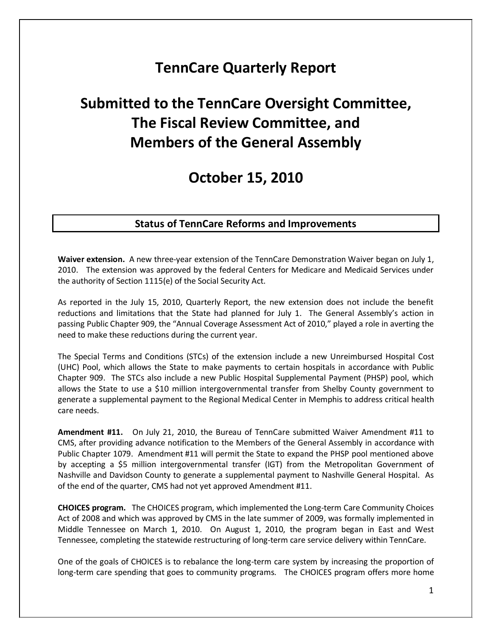## **TennCare Quarterly Report**

# **Submitted to the TennCare Oversight Committee, The Fiscal Review Committee, and Members of the General Assembly**

## **October 15, 2010**

### **Status of TennCare Reforms and Improvements**

**Waiver extension.** A new three-year extension of the TennCare Demonstration Waiver began on July 1, 2010. The extension was approved by the federal Centers for Medicare and Medicaid Services under the authority of Section 1115(e) of the Social Security Act.

As reported in the July 15, 2010, Quarterly Report, the new extension does not include the benefit reductions and limitations that the State had planned for July 1. The General Assembly's action in passing Public Chapter 909, the "Annual Coverage Assessment Act of 2010," played a role in averting the need to make these reductions during the current year.

The Special Terms and Conditions (STCs) of the extension include a new Unreimbursed Hospital Cost (UHC) Pool, which allows the State to make payments to certain hospitals in accordance with Public Chapter 909. The STCs also include a new Public Hospital Supplemental Payment (PHSP) pool, which allows the State to use a \$10 million intergovernmental transfer from Shelby County government to generate a supplemental payment to the Regional Medical Center in Memphis to address critical health care needs.

**Amendment #11.** On July 21, 2010, the Bureau of TennCare submitted Waiver Amendment #11 to CMS, after providing advance notification to the Members of the General Assembly in accordance with Public Chapter 1079. Amendment #11 will permit the State to expand the PHSP pool mentioned above by accepting a \$5 million intergovernmental transfer (IGT) from the Metropolitan Government of Nashville and Davidson County to generate a supplemental payment to Nashville General Hospital. As of the end of the quarter, CMS had not yet approved Amendment #11.

**CHOICES program.** The CHOICES program, which implemented the Long-term Care Community Choices Act of 2008 and which was approved by CMS in the late summer of 2009, was formally implemented in Middle Tennessee on March 1, 2010. On August 1, 2010, the program began in East and West Tennessee, completing the statewide restructuring of long-term care service delivery within TennCare.

One of the goals of CHOICES is to rebalance the long-term care system by increasing the proportion of long-term care spending that goes to community programs. The CHOICES program offers more home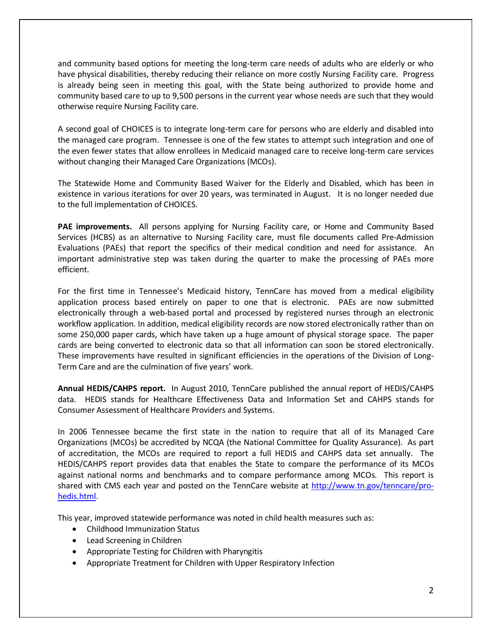and community based options for meeting the long-term care needs of adults who are elderly or who have physical disabilities, thereby reducing their reliance on more costly Nursing Facility care. Progress is already being seen in meeting this goal, with the State being authorized to provide home and community based care to up to 9,500 persons in the current year whose needs are such that they would otherwise require Nursing Facility care.

A second goal of CHOICES is to integrate long-term care for persons who are elderly and disabled into the managed care program. Tennessee is one of the few states to attempt such integration and one of the even fewer states that allow enrollees in Medicaid managed care to receive long-term care services without changing their Managed Care Organizations (MCOs).

The Statewide Home and Community Based Waiver for the Elderly and Disabled, which has been in existence in various iterations for over 20 years, was terminated in August. It is no longer needed due to the full implementation of CHOICES.

**PAE improvements.** All persons applying for Nursing Facility care, or Home and Community Based Services (HCBS) as an alternative to Nursing Facility care, must file documents called Pre-Admission Evaluations (PAEs) that report the specifics of their medical condition and need for assistance. An important administrative step was taken during the quarter to make the processing of PAEs more efficient.

For the first time in Tennessee's Medicaid history, TennCare has moved from a medical eligibility application process based entirely on paper to one that is electronic. PAEs are now submitted electronically through a web-based portal and processed by registered nurses through an electronic workflow application. In addition, medical eligibility records are now stored electronically rather than on some 250,000 paper cards, which have taken up a huge amount of physical storage space. The paper cards are being converted to electronic data so that all information can soon be stored electronically. These improvements have resulted in significant efficiencies in the operations of the Division of Long-Term Care and are the culmination of five years' work.

**Annual HEDIS/CAHPS report.** In August 2010, TennCare published the annual report of HEDIS/CAHPS data. HEDIS stands for Healthcare Effectiveness Data and Information Set and CAHPS stands for Consumer Assessment of Healthcare Providers and Systems.

In 2006 Tennessee became the first state in the nation to require that all of its Managed Care Organizations (MCOs) be accredited by NCQA (the National Committee for Quality Assurance). As part of accreditation, the MCOs are required to report a full HEDIS and CAHPS data set annually. The HEDIS/CAHPS report provides data that enables the State to compare the performance of its MCOs against national norms and benchmarks and to compare performance among MCOs. This report is shared with CMS each year and posted on the TennCare website at [http://www.tn.gov/tenncare/pro](http://www.tn.gov/tenncare/pro-hedis.html)[hedis.html.](http://www.tn.gov/tenncare/pro-hedis.html)

This year, improved statewide performance was noted in child health measures such as:

- Childhood Immunization Status
- Lead Screening in Children
- Appropriate Testing for Children with Pharyngitis
- Appropriate Treatment for Children with Upper Respiratory Infection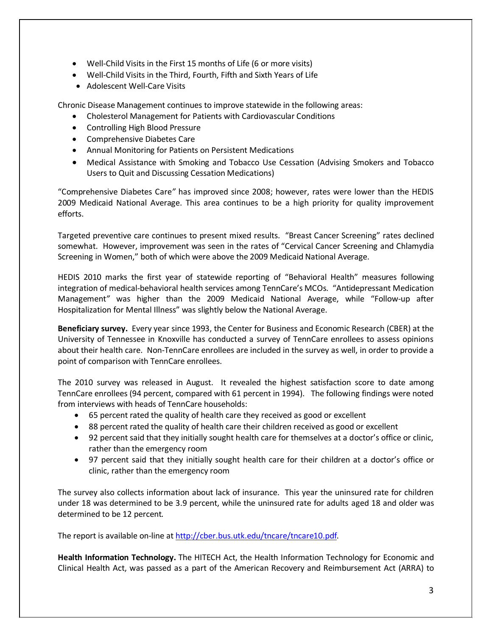- Well-Child Visits in the First 15 months of Life (6 or more visits)
- Well-Child Visits in the Third, Fourth, Fifth and Sixth Years of Life
- Adolescent Well-Care Visits

Chronic Disease Management continues to improve statewide in the following areas:

- Cholesterol Management for Patients with Cardiovascular Conditions
- Controlling High Blood Pressure
- Comprehensive Diabetes Care
- Annual Monitoring for Patients on Persistent Medications
- Medical Assistance with Smoking and Tobacco Use Cessation (Advising Smokers and Tobacco Users to Quit and Discussing Cessation Medications)

"Comprehensive Diabetes Care*"* has improved since 2008; however, rates were lower than the HEDIS 2009 Medicaid National Average. This area continues to be a high priority for quality improvement efforts.

Targeted preventive care continues to present mixed results. "Breast Cancer Screening" rates declined somewhat. However, improvement was seen in the rates of "Cervical Cancer Screening and Chlamydia Screening in Women," both of which were above the 2009 Medicaid National Average.

HEDIS 2010 marks the first year of statewide reporting of "Behavioral Health" measures following integration of medical-behavioral health services among TennCare's MCOs. "Antidepressant Medication Management*"* was higher than the 2009 Medicaid National Average, while "Follow-up after Hospitalization for Mental Illness" was slightly below the National Average.

**Beneficiary survey.** Every year since 1993, the Center for Business and Economic Research (CBER) at the University of Tennessee in Knoxville has conducted a survey of TennCare enrollees to assess opinions about their health care. Non-TennCare enrollees are included in the survey as well, in order to provide a point of comparison with TennCare enrollees.

The 2010 survey was released in August. It revealed the highest satisfaction score to date among TennCare enrollees (94 percent, compared with 61 percent in 1994). The following findings were noted from interviews with heads of TennCare households:

- 65 percent rated the quality of health care they received as good or excellent
- 88 percent rated the quality of health care their children received as good or excellent
- 92 percent said that they initially sought health care for themselves at a doctor's office or clinic, rather than the emergency room
- 97 percent said that they initially sought health care for their children at a doctor's office or clinic, rather than the emergency room

The survey also collects information about lack of insurance. This year the uninsured rate for children under 18 was determined to be 3.9 percent, while the uninsured rate for adults aged 18 and older was determined to be 12 percent*.* 

The report is available on-line a[t http://cber.bus.utk.edu/tncare/tncare10.pdf.](http://cber.bus.utk.edu/tncare/tncare10.pdf)

**Health Information Technology.** The HITECH Act, the Health Information Technology for Economic and Clinical Health Act, was passed as a part of the American Recovery and Reimbursement Act (ARRA) to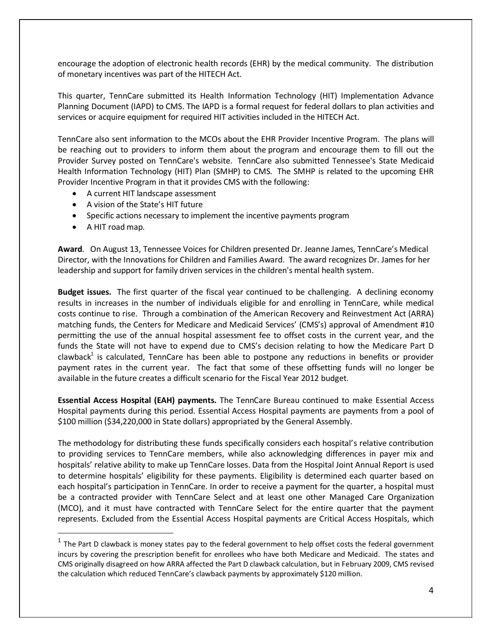encourage the adoption of electronic health records (EHR) by the medical community. The distribution of monetary incentives was part of the HITECH Act.

This quarter, TennCare submitted its Health Information Technology (HIT) Implementation Advance Planning Document (IAPD) to CMS. The IAPD is a formal request for federal dollars to plan activities and services or acquire equipment for required HIT activities included in the HITECH Act.

TennCare also sent information to the MCOs about the EHR Provider Incentive Program. The plans will be reaching out to providers to inform them about the program and encourage them to fill out the Provider Survey posted on TennCare's website. TennCare also submitted Tennessee's State Medicaid Health Information Technology (HIT) Plan (SMHP) to CMS. The SMHP is related to the upcoming EHR Provider Incentive Program in that it provides CMS with the following:

- A current HIT landscape assessment
- A vision of the State's HIT future
- Specific actions necessary to implement the incentive payments program
- A HIT road map.

**Award**. On August 13, Tennessee Voices for Children presented Dr. Jeanne James, TennCare's Medical Director, with the Innovations for Children and Families Award. The award recognizes Dr. James for her leadership and support for family driven services in the children's mental health system.

**Budget issues.** The first quarter of the fiscal year continued to be challenging. A declining economy results in increases in the number of individuals eligible for and enrolling in TennCare, while medical costs continue to rise. Through a combination of the American Recovery and Reinvestment Act (ARRA) matching funds, the Centers for Medicare and Medicaid Services' (CMS's) approval of Amendment #10 permitting the use of the annual hospital assessment fee to offset costs in the current year, and the funds the State will not have to expend due to CMS's decision relating to how the Medicare Part D clawback<sup>1</sup> is calculated, TennCare has been able to postpone any reductions in benefits or provider payment rates in the current year. The fact that some of these offsetting funds will no longer be available in the future creates a difficult scenario for the Fiscal Year 2012 budget.

**Essential Access Hospital (EAH) payments.** The TennCare Bureau continued to make Essential Access Hospital payments during this period. Essential Access Hospital payments are payments from a pool of \$100 million (\$34,220,000 in State dollars) appropriated by the General Assembly.

The methodology for distributing these funds specifically considers each hospital's relative contribution to providing services to TennCare members, while also acknowledging differences in payer mix and hospitals' relative ability to make up TennCare losses. Data from the Hospital Joint Annual Report is used to determine hospitals' eligibility for these payments. Eligibility is determined each quarter based on each hospital's participation in TennCare. In order to receive a payment for the quarter, a hospital must be a contracted provider with TennCare Select and at least one other Managed Care Organization (MCO), and it must have contracted with TennCare Select for the entire quarter that the payment represents. Excluded from the Essential Access Hospital payments are Critical Access Hospitals, which

 $1$  The Part D clawback is money states pay to the federal government to help offset costs the federal government incurs by covering the prescription benefit for enrollees who have both Medicare and Medicaid. The states and CMS originally disagreed on how ARRA affected the Part D clawback calculation, but in February 2009, CMS revised the calculation which reduced TennCare's clawback payments by approximately \$120 million.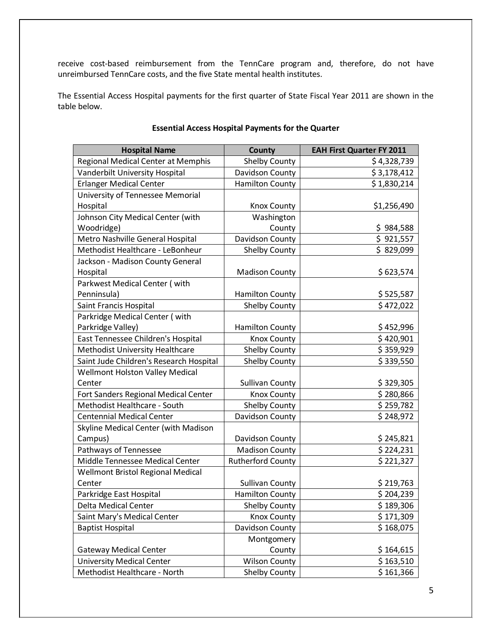receive cost-based reimbursement from the TennCare program and, therefore, do not have unreimbursed TennCare costs, and the five State mental health institutes.

The Essential Access Hospital payments for the first quarter of State Fiscal Year 2011 are shown in the table below.

| <b>Hospital Name</b>                    | County                   | <b>EAH First Quarter FY 2011</b> |
|-----------------------------------------|--------------------------|----------------------------------|
| Regional Medical Center at Memphis      | <b>Shelby County</b>     | \$4,328,739                      |
| Vanderbilt University Hospital          | Davidson County          | \$3,178,412                      |
| <b>Erlanger Medical Center</b>          | <b>Hamilton County</b>   | \$1,830,214                      |
| University of Tennessee Memorial        |                          |                                  |
| Hospital                                | <b>Knox County</b>       | \$1,256,490                      |
| Johnson City Medical Center (with       | Washington               |                                  |
| Woodridge)                              | County                   | \$984,588                        |
| Metro Nashville General Hospital        | Davidson County          | \$921,557                        |
| Methodist Healthcare - LeBonheur        | <b>Shelby County</b>     | \$829,099                        |
| Jackson - Madison County General        |                          |                                  |
| Hospital                                | <b>Madison County</b>    | \$623,574                        |
| Parkwest Medical Center (with           |                          |                                  |
| Penninsula)                             | <b>Hamilton County</b>   | \$525,587                        |
| Saint Francis Hospital                  | <b>Shelby County</b>     | \$472,022                        |
| Parkridge Medical Center (with          |                          |                                  |
| Parkridge Valley)                       | <b>Hamilton County</b>   | \$452,996                        |
| East Tennessee Children's Hospital      | <b>Knox County</b>       | \$420,901                        |
| Methodist University Healthcare         | <b>Shelby County</b>     | \$359,929                        |
| Saint Jude Children's Research Hospital | <b>Shelby County</b>     | \$339,550                        |
| Wellmont Holston Valley Medical         |                          |                                  |
| Center                                  | <b>Sullivan County</b>   | \$329,305                        |
| Fort Sanders Regional Medical Center    | <b>Knox County</b>       | \$280,866                        |
| Methodist Healthcare - South            | <b>Shelby County</b>     | \$259,782                        |
| <b>Centennial Medical Center</b>        | Davidson County          | \$248,972                        |
| Skyline Medical Center (with Madison    |                          |                                  |
| Campus)                                 | Davidson County          | \$245,821                        |
| Pathways of Tennessee                   | <b>Madison County</b>    | \$224,231                        |
| Middle Tennessee Medical Center         | <b>Rutherford County</b> | \$221,327                        |
| Wellmont Bristol Regional Medical       |                          |                                  |
| Center                                  | <b>Sullivan County</b>   | \$219,763                        |
| Parkridge East Hospital                 | <b>Hamilton County</b>   | \$204,239                        |
| Delta Medical Center                    | <b>Shelby County</b>     | \$189,306                        |
| Saint Mary's Medical Center             | <b>Knox County</b>       | \$171,309                        |
| <b>Baptist Hospital</b>                 | Davidson County          | \$168,075                        |
|                                         | Montgomery               |                                  |
| <b>Gateway Medical Center</b>           | County                   | \$164,615                        |
| <b>University Medical Center</b>        | <b>Wilson County</b>     | \$163,510                        |
| Methodist Healthcare - North            | <b>Shelby County</b>     | \$161,366                        |

#### **Essential Access Hospital Payments for the Quarter**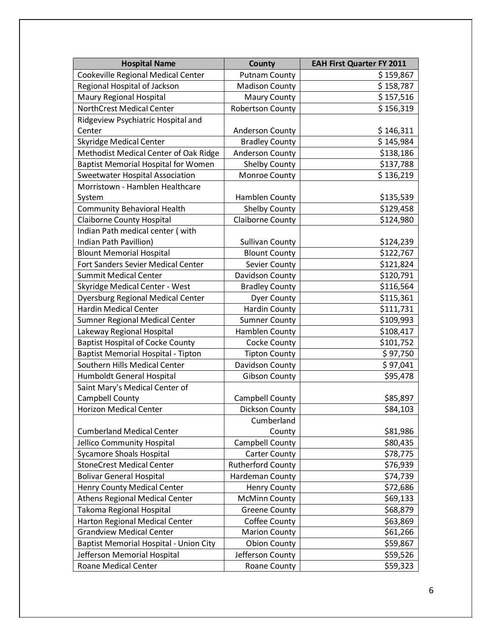| <b>Hospital Name</b>                       | <b>County</b>            | <b>EAH First Quarter FY 2011</b> |
|--------------------------------------------|--------------------------|----------------------------------|
| Cookeville Regional Medical Center         | <b>Putnam County</b>     | \$159,867                        |
| Regional Hospital of Jackson               | <b>Madison County</b>    | \$158,787                        |
| Maury Regional Hospital                    | Maury County             | \$157,516                        |
| <b>NorthCrest Medical Center</b>           | <b>Robertson County</b>  | \$156,319                        |
| Ridgeview Psychiatric Hospital and         |                          |                                  |
| Center                                     | <b>Anderson County</b>   | \$146,311                        |
| <b>Skyridge Medical Center</b>             | <b>Bradley County</b>    | \$145,984                        |
| Methodist Medical Center of Oak Ridge      | <b>Anderson County</b>   | \$138,186                        |
| <b>Baptist Memorial Hospital for Women</b> | <b>Shelby County</b>     | \$137,788                        |
| Sweetwater Hospital Association            | Monroe County            | \$136,219                        |
| Morristown - Hamblen Healthcare            |                          |                                  |
| System                                     | Hamblen County           | \$135,539                        |
| <b>Community Behavioral Health</b>         | <b>Shelby County</b>     | \$129,458                        |
| <b>Claiborne County Hospital</b>           | <b>Claiborne County</b>  | \$124,980                        |
| Indian Path medical center (with           |                          |                                  |
| Indian Path Pavillion)                     | <b>Sullivan County</b>   | \$124,239                        |
| <b>Blount Memorial Hospital</b>            | <b>Blount County</b>     | \$122,767                        |
| Fort Sanders Sevier Medical Center         | Sevier County            | \$121,824                        |
| <b>Summit Medical Center</b>               | Davidson County          | \$120,791                        |
| <b>Skyridge Medical Center - West</b>      | <b>Bradley County</b>    | \$116,564                        |
| <b>Dyersburg Regional Medical Center</b>   | <b>Dyer County</b>       | \$115,361                        |
| <b>Hardin Medical Center</b>               | <b>Hardin County</b>     | \$111,731                        |
| <b>Sumner Regional Medical Center</b>      | <b>Sumner County</b>     | \$109,993                        |
| Lakeway Regional Hospital                  | Hamblen County           | \$108,417                        |
| <b>Baptist Hospital of Cocke County</b>    | <b>Cocke County</b>      | \$101,752                        |
| Baptist Memorial Hospital - Tipton         | <b>Tipton County</b>     | \$97,750                         |
| Southern Hills Medical Center              | Davidson County          | \$97,041                         |
| Humboldt General Hospital                  | <b>Gibson County</b>     | \$95,478                         |
| Saint Mary's Medical Center of             |                          |                                  |
| Campbell County                            | Campbell County          | \$85,897                         |
| <b>Horizon Medical Center</b>              | <b>Dickson County</b>    | \$84,103                         |
|                                            | Cumberland               |                                  |
| <b>Cumberland Medical Center</b>           | County                   | \$81,986                         |
| Jellico Community Hospital                 | Campbell County          | \$80,435                         |
| <b>Sycamore Shoals Hospital</b>            | <b>Carter County</b>     | \$78,775                         |
| <b>StoneCrest Medical Center</b>           | <b>Rutherford County</b> | \$76,939                         |
| <b>Bolivar General Hospital</b>            | Hardeman County          | \$74,739                         |
| <b>Henry County Medical Center</b>         | <b>Henry County</b>      | \$72,686                         |
| <b>Athens Regional Medical Center</b>      | <b>McMinn County</b>     | \$69,133                         |
| <b>Takoma Regional Hospital</b>            | <b>Greene County</b>     | \$68,879                         |
| <b>Harton Regional Medical Center</b>      | <b>Coffee County</b>     | \$63,869                         |
| <b>Grandview Medical Center</b>            | <b>Marion County</b>     | \$61,266                         |
| Baptist Memorial Hospital - Union City     | <b>Obion County</b>      | \$59,867                         |
| Jefferson Memorial Hospital                | Jefferson County         | \$59,526                         |
| Roane Medical Center                       | Roane County             | \$59,323                         |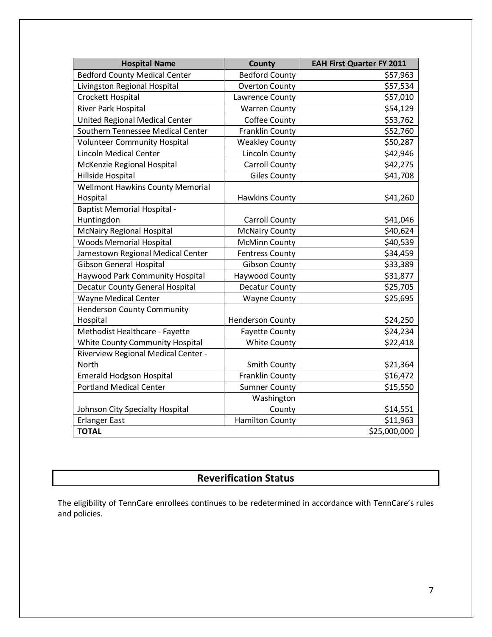| <b>Hospital Name</b>                    | <b>County</b>           | <b>EAH First Quarter FY 2011</b> |
|-----------------------------------------|-------------------------|----------------------------------|
| <b>Bedford County Medical Center</b>    | <b>Bedford County</b>   | \$57,963                         |
| Livingston Regional Hospital            | <b>Overton County</b>   | \$57,534                         |
| Crockett Hospital                       | Lawrence County         | \$57,010                         |
| River Park Hospital                     | <b>Warren County</b>    | \$54,129                         |
| <b>United Regional Medical Center</b>   | <b>Coffee County</b>    | \$53,762                         |
| Southern Tennessee Medical Center       | <b>Franklin County</b>  | \$52,760                         |
| <b>Volunteer Community Hospital</b>     | <b>Weakley County</b>   | \$50,287                         |
| <b>Lincoln Medical Center</b>           | <b>Lincoln County</b>   | \$42,946                         |
| McKenzie Regional Hospital              | <b>Carroll County</b>   | \$42,275                         |
| Hillside Hospital                       | <b>Giles County</b>     | \$41,708                         |
| <b>Wellmont Hawkins County Memorial</b> |                         |                                  |
| Hospital                                | <b>Hawkins County</b>   | \$41,260                         |
| <b>Baptist Memorial Hospital -</b>      |                         |                                  |
| Huntingdon                              | <b>Carroll County</b>   | \$41,046                         |
| <b>McNairy Regional Hospital</b>        | <b>McNairy County</b>   | \$40,624                         |
| <b>Woods Memorial Hospital</b>          | <b>McMinn County</b>    | \$40,539                         |
| Jamestown Regional Medical Center       | <b>Fentress County</b>  | \$34,459                         |
| <b>Gibson General Hospital</b>          | <b>Gibson County</b>    | \$33,389                         |
| <b>Haywood Park Community Hospital</b>  | Haywood County          | \$31,877                         |
| <b>Decatur County General Hospital</b>  | <b>Decatur County</b>   | \$25,705                         |
| <b>Wayne Medical Center</b>             | <b>Wayne County</b>     | \$25,695                         |
| <b>Henderson County Community</b>       |                         |                                  |
| Hospital                                | <b>Henderson County</b> | \$24,250                         |
| Methodist Healthcare - Fayette          | <b>Fayette County</b>   | \$24,234                         |
| <b>White County Community Hospital</b>  | <b>White County</b>     | \$22,418                         |
| Riverview Regional Medical Center -     |                         |                                  |
| <b>North</b>                            | <b>Smith County</b>     | \$21,364                         |
| <b>Emerald Hodgson Hospital</b>         | <b>Franklin County</b>  | \$16,472                         |
| <b>Portland Medical Center</b>          | <b>Sumner County</b>    | \$15,550                         |
|                                         | Washington              |                                  |
| Johnson City Specialty Hospital         | County                  | \$14,551                         |
| <b>Erlanger East</b>                    | <b>Hamilton County</b>  | \$11,963                         |
| <b>TOTAL</b>                            |                         | \$25,000,000                     |

## **Reverification Status**

The eligibility of TennCare enrollees continues to be redetermined in accordance with TennCare's rules and policies.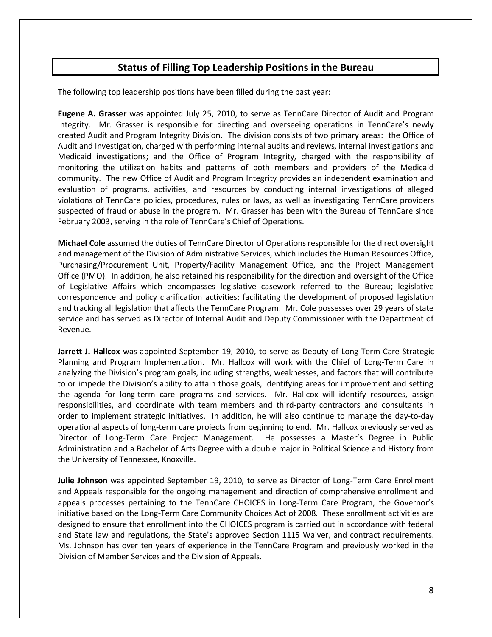## **Status of Filling Top Leadership Positions in the Bureau**

The following top leadership positions have been filled during the past year:

**Eugene A. Grasser** was appointed July 25, 2010, to serve as TennCare Director of Audit and Program Integrity. Mr. Grasser is responsible for directing and overseeing operations in TennCare's newly created Audit and Program Integrity Division. The division consists of two primary areas: the Office of Audit and Investigation, charged with performing internal audits and reviews, internal investigations and Medicaid investigations; and the Office of Program Integrity, charged with the responsibility of monitoring the utilization habits and patterns of both members and providers of the Medicaid community. The new Office of Audit and Program Integrity provides an independent examination and evaluation of programs, activities, and resources by conducting internal investigations of alleged violations of TennCare policies, procedures, rules or laws, as well as investigating TennCare providers suspected of fraud or abuse in the program. Mr. Grasser has been with the Bureau of TennCare since February 2003, serving in the role of TennCare's Chief of Operations.

**Michael Cole** assumed the duties of TennCare Director of Operations responsible for the direct oversight and management of the Division of Administrative Services, which includes the Human Resources Office, Purchasing/Procurement Unit, Property/Facility Management Office, and the Project Management Office (PMO). In addition, he also retained his responsibility for the direction and oversight of the Office of Legislative Affairs which encompasses legislative casework referred to the Bureau; legislative correspondence and policy clarification activities; facilitating the development of proposed legislation and tracking all legislation that affects the TennCare Program. Mr. Cole possesses over 29 years of state service and has served as Director of Internal Audit and Deputy Commissioner with the Department of Revenue.

**Jarrett J. Hallcox** was appointed September 19, 2010, to serve as Deputy of Long-Term Care Strategic Planning and Program Implementation. Mr. Hallcox will work with the Chief of Long-Term Care in analyzing the Division's program goals, including strengths, weaknesses, and factors that will contribute to or impede the Division's ability to attain those goals, identifying areas for improvement and setting the agenda for long-term care programs and services. Mr. Hallcox will identify resources, assign responsibilities, and coordinate with team members and third-party contractors and consultants in order to implement strategic initiatives. In addition, he will also continue to manage the day-to-day operational aspects of long-term care projects from beginning to end. Mr. Hallcox previously served as Director of Long-Term Care Project Management. He possesses a Master's Degree in Public Administration and a Bachelor of Arts Degree with a double major in Political Science and History from the University of Tennessee, Knoxville.

**Julie Johnson** was appointed September 19, 2010, to serve as Director of Long-Term Care Enrollment and Appeals responsible for the ongoing management and direction of comprehensive enrollment and appeals processes pertaining to the TennCare CHOICES in Long-Term Care Program, the Governor's initiative based on the Long-Term Care Community Choices Act of 2008. These enrollment activities are designed to ensure that enrollment into the CHOICES program is carried out in accordance with federal and State law and regulations, the State's approved Section 1115 Waiver, and contract requirements. Ms. Johnson has over ten years of experience in the TennCare Program and previously worked in the Division of Member Services and the Division of Appeals.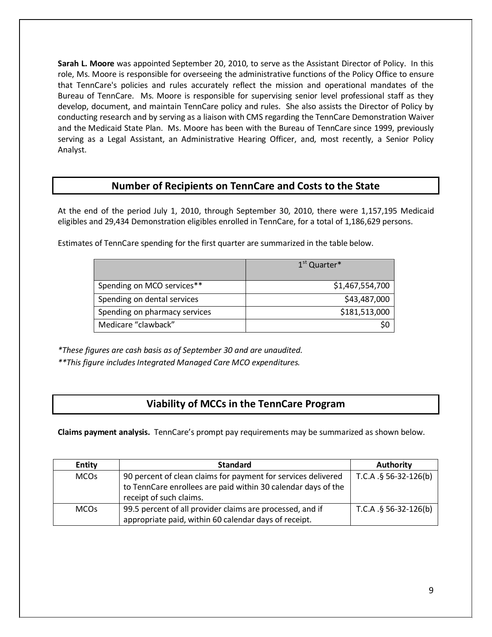**Sarah L. Moore** was appointed September 20, 2010, to serve as the Assistant Director of Policy. In this role, Ms. Moore is responsible for overseeing the administrative functions of the Policy Office to ensure that TennCare's policies and rules accurately reflect the mission and operational mandates of the Bureau of TennCare. Ms. Moore is responsible for supervising senior level professional staff as they develop, document, and maintain TennCare policy and rules. She also assists the Director of Policy by conducting research and by serving as a liaison with CMS regarding the TennCare Demonstration Waiver and the Medicaid State Plan. Ms. Moore has been with the Bureau of TennCare since 1999, previously serving as a Legal Assistant, an Administrative Hearing Officer, and, most recently, a Senior Policy Analyst.

### **Number of Recipients on TennCare and Costs to the State**

At the end of the period July 1, 2010, through September 30, 2010, there were 1,157,195 Medicaid eligibles and 29,434 Demonstration eligibles enrolled in TennCare, for a total of 1,186,629 persons.

Estimates of TennCare spending for the first quarter are summarized in the table below.

|                               | $1st$ Quarter*  |  |
|-------------------------------|-----------------|--|
| Spending on MCO services**    | \$1,467,554,700 |  |
| Spending on dental services   | \$43,487,000    |  |
| Spending on pharmacy services | \$181,513,000   |  |
| Medicare "clawback"           | S0              |  |

*\*These figures are cash basis as of September 30 and are unaudited.*

*\*\*This figure includes Integrated Managed Care MCO expenditures.*

## **Viability of MCCs in the TennCare Program**

**Claims payment analysis.** TennCare's prompt pay requirements may be summarized as shown below.

| <b>Entity</b>          | <b>Standard</b>                                                                                                                                           | <b>Authority</b>        |
|------------------------|-----------------------------------------------------------------------------------------------------------------------------------------------------------|-------------------------|
| <b>MCO<sub>s</sub></b> | 90 percent of clean claims for payment for services delivered<br>to TennCare enrollees are paid within 30 calendar days of the<br>receipt of such claims. | T.C.A. $§$ 56-32-126(b) |
| <b>MCO<sub>s</sub></b> | 99.5 percent of all provider claims are processed, and if<br>appropriate paid, within 60 calendar days of receipt.                                        | T.C.A $.§$ 56-32-126(b) |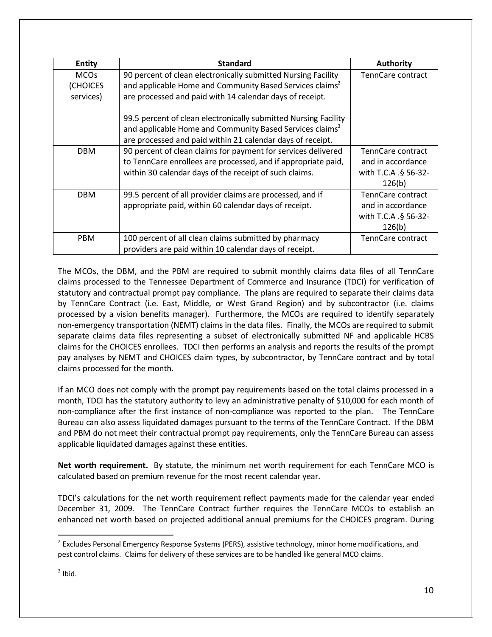| <b>Entity</b>                                   | <b>Standard</b>                                                                                                                                                                                       | <b>Authority</b>                                                         |
|-------------------------------------------------|-------------------------------------------------------------------------------------------------------------------------------------------------------------------------------------------------------|--------------------------------------------------------------------------|
| <b>MCO<sub>s</sub></b><br>(CHOICES<br>services) | 90 percent of clean electronically submitted Nursing Facility<br>and applicable Home and Community Based Services claims <sup>2</sup><br>are processed and paid with 14 calendar days of receipt.     | TennCare contract                                                        |
|                                                 | 99.5 percent of clean electronically submitted Nursing Facility<br>and applicable Home and Community Based Services claims <sup>3</sup><br>are processed and paid within 21 calendar days of receipt. |                                                                          |
| <b>DBM</b>                                      | 90 percent of clean claims for payment for services delivered<br>to TennCare enrollees are processed, and if appropriate paid,<br>within 30 calendar days of the receipt of such claims.              | TennCare contract<br>and in accordance<br>with T.C.A .§ 56-32-<br>126(b) |
| <b>DBM</b>                                      | 99.5 percent of all provider claims are processed, and if<br>appropriate paid, within 60 calendar days of receipt.                                                                                    | TennCare contract<br>and in accordance<br>with T.C.A .§ 56-32-<br>126(b) |
| <b>PBM</b>                                      | 100 percent of all clean claims submitted by pharmacy<br>providers are paid within 10 calendar days of receipt.                                                                                       | TennCare contract                                                        |

The MCOs, the DBM, and the PBM are required to submit monthly claims data files of all TennCare claims processed to the Tennessee Department of Commerce and Insurance (TDCI) for verification of statutory and contractual prompt pay compliance. The plans are required to separate their claims data by TennCare Contract (i.e. East, Middle, or West Grand Region) and by subcontractor (i.e. claims processed by a vision benefits manager). Furthermore, the MCOs are required to identify separately non-emergency transportation (NEMT) claims in the data files. Finally, the MCOs are required to submit separate claims data files representing a subset of electronically submitted NF and applicable HCBS claims for the CHOICES enrollees. TDCI then performs an analysis and reports the results of the prompt pay analyses by NEMT and CHOICES claim types, by subcontractor, by TennCare contract and by total claims processed for the month.

If an MCO does not comply with the prompt pay requirements based on the total claims processed in a month, TDCI has the statutory authority to levy an administrative penalty of \$10,000 for each month of non-compliance after the first instance of non-compliance was reported to the plan. The TennCare Bureau can also assess liquidated damages pursuant to the terms of the TennCare Contract. If the DBM and PBM do not meet their contractual prompt pay requirements, only the TennCare Bureau can assess applicable liquidated damages against these entities.

**Net worth requirement.** By statute, the minimum net worth requirement for each TennCare MCO is calculated based on premium revenue for the most recent calendar year.

TDCI's calculations for the net worth requirement reflect payments made for the calendar year ended December 31, 2009. The TennCare Contract further requires the TennCare MCOs to establish an enhanced net worth based on projected additional annual premiums for the CHOICES program. During

l

 $2$  Excludes Personal Emergency Response Systems (PERS), assistive technology, minor home modifications, and pest control claims. Claims for delivery of these services are to be handled like general MCO claims.

 $3$  Ibid.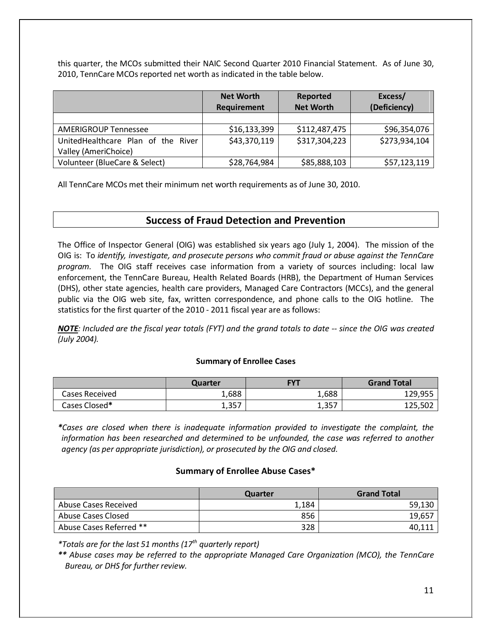this quarter, the MCOs submitted their NAIC Second Quarter 2010 Financial Statement. As of June 30, 2010, TennCare MCOs reported net worth as indicated in the table below.

|                                    | <b>Net Worth</b> | Reported         | Excess/       |
|------------------------------------|------------------|------------------|---------------|
|                                    | Requirement      | <b>Net Worth</b> | (Deficiency)  |
|                                    |                  |                  |               |
| <b>AMERIGROUP Tennessee</b>        | \$16,133,399     | \$112,487,475    | \$96,354,076  |
| UnitedHealthcare Plan of the River | \$43,370,119     | \$317,304,223    | \$273,934,104 |
| Valley (AmeriChoice)               |                  |                  |               |
| Volunteer (BlueCare & Select)      | \$28,764,984     | \$85,888,103     | \$57,123,119  |

All TennCare MCOs met their minimum net worth requirements as of June 30, 2010.

## **Success of Fraud Detection and Prevention**

The Office of Inspector General (OIG) was established six years ago (July 1, 2004). The mission of the OIG is: To *identify, investigate, and prosecute persons who commit fraud or abuse against the TennCare program.* The OIG staff receives case information from a variety of sources including: local law enforcement, the TennCare Bureau, Health Related Boards (HRB), the Department of Human Services (DHS), other state agencies, health care providers, Managed Care Contractors (MCCs), and the general public via the OIG web site, fax, written correspondence, and phone calls to the OIG hotline. The statistics for the first quarter of the 2010 - 2011 fiscal year are as follows:

*NOTE: Included are the fiscal year totals (FYT) and the grand totals to date -- since the OIG was created (July 2004).*

#### **Summary of Enrollee Cases**

|                | Quarter | <b>FYT</b> | <b>Grand Total</b> |
|----------------|---------|------------|--------------------|
| Cases Received | 1,688   | 1,688      | 129,955            |
| Cases Closed*  | 1,357   | 1,357      | 125,502            |

*\*Cases are closed when there is inadequate information provided to investigate the complaint, the information has been researched and determined to be unfounded, the case was referred to another agency (as per appropriate jurisdiction), or prosecuted by the OIG and closed.* 

#### **Summary of Enrollee Abuse Cases\***

|                         | Quarter | <b>Grand Total</b> |
|-------------------------|---------|--------------------|
| Abuse Cases Received    | 1,184   | 59,130             |
| Abuse Cases Closed      | 856     | 19,657             |
| Abuse Cases Referred ** | 328     | 40.11              |

*\*Totals are for the last 51 months (17th quarterly report)*

*\*\* Abuse cases may be referred to the appropriate Managed Care Organization (MCO), the TennCare Bureau, or DHS for further review.*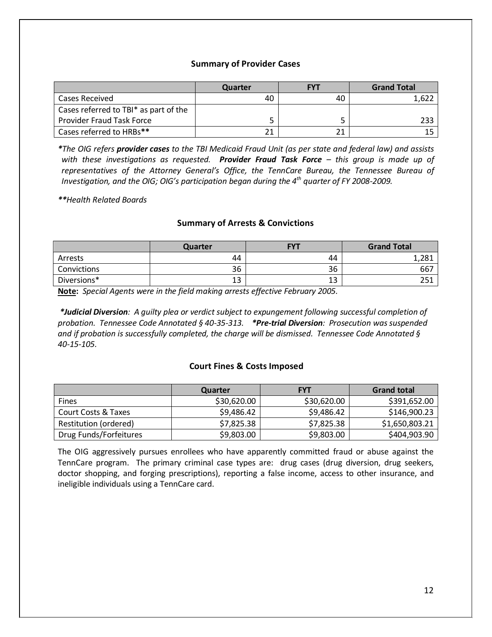#### **Summary of Provider Cases**

|                                       | Quarter | <b>FYT</b> | <b>Grand Total</b> |
|---------------------------------------|---------|------------|--------------------|
| Cases Received                        | 40      | 40         |                    |
| Cases referred to TBI* as part of the |         |            |                    |
| <b>Provider Fraud Task Force</b>      |         |            |                    |
| Cases referred to HRBs**              |         |            |                    |

*\*The OIG refers provider cases to the TBI Medicaid Fraud Unit (as per state and federal law) and assists with these investigations as requested. Provider Fraud Task Force – this group is made up of representatives of the Attorney General's Office, the TennCare Bureau, the Tennessee Bureau of Investigation, and the OIG; OIG's participation began during the 4th quarter of FY 2008-2009.*

*\*\*Health Related Boards*

#### **Summary of Arrests & Convictions**

|             | Quarter | <b>FYT</b> | <b>Grand Total</b> |
|-------------|---------|------------|--------------------|
| Arrests     | 44      | 44         | າວ1<br>⊥07, ⊥      |
| Convictions | 36      | 36         | 667                |
| Diversions* | 13      | 13         | つロイ<br>∠J⊥         |

**Note :** *Special Agents were in the field making arrests effective February 2005.*

*\*Judicial Diversion: A guilty plea or verdict subject to expungement following successful completion of probation. Tennessee Code Annotated § 40-35-313. \*Pre-trial Diversion: Prosecution was suspended and if probation is successfully completed, the charge will be dismissed. Tennessee Code Annotated § 40-15-105.*

#### **Court Fines & Costs Imposed**

|                        | Quarter     | <b>FYT</b>  | <b>Grand total</b> |
|------------------------|-------------|-------------|--------------------|
| <b>Fines</b>           | \$30,620.00 | \$30,620.00 | \$391,652.00       |
| Court Costs & Taxes    | \$9,486.42  | \$9,486.42  | \$146,900.23       |
| Restitution (ordered)  | \$7,825.38  | \$7,825.38  | \$1,650,803.21     |
| Drug Funds/Forfeitures | \$9,803.00  | \$9,803.00  | \$404,903.90       |

The OIG aggressively pursues enrollees who have apparently committed fraud or abuse against the TennCare program. The primary criminal case types are: drug cases (drug diversion, drug seekers, doctor shopping, and forging prescriptions), reporting a false income, access to other insurance, and ineligible individuals using a TennCare card.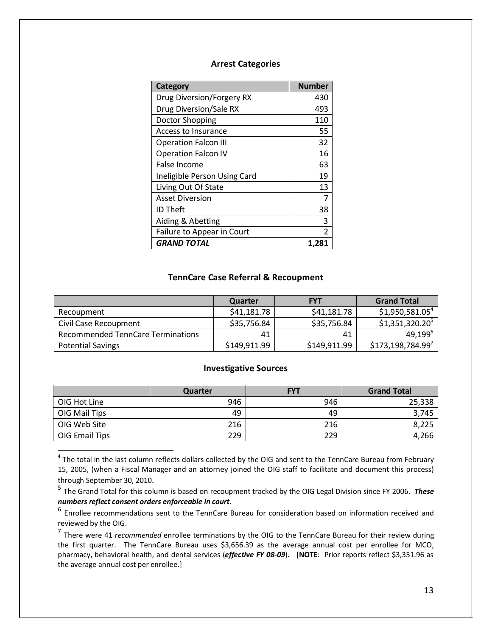#### **Arrest Categories**

| Category                     | <b>Number</b> |
|------------------------------|---------------|
| Drug Diversion/Forgery RX    | 430           |
| Drug Diversion/Sale RX       | 493           |
| Doctor Shopping              | 110           |
| Access to Insurance          | 55            |
| <b>Operation Falcon III</b>  | 32            |
| Operation Falcon IV          | 16            |
| False Income                 | 63            |
| Ineligible Person Using Card | 19            |
| Living Out Of State          | 13            |
| <b>Asset Diversion</b>       | 7             |
| <b>ID Theft</b>              | 38            |
| Aiding & Abetting            | 3             |
| Failure to Appear in Court   | 2             |
| <b>GRAND TOTAL</b>           | 1.28.         |

#### **TennCare Case Referral & Recoupment**

|                                   | Quarter      | <b>FYT</b>   | <b>Grand Total</b>           |
|-----------------------------------|--------------|--------------|------------------------------|
| Recoupment                        | \$41,181.78  | \$41,181.78  | $$1,950,581.05^4$            |
| Civil Case Recoupment             | \$35,756.84  | \$35,756.84  | $$1,351,320.20$ <sup>5</sup> |
| Recommended TennCare Terminations | 41           | 41           | 49,199 <sup>6</sup>          |
| <b>Potential Savings</b>          | \$149,911.99 | \$149,911.99 | \$173,198,784.99'            |

#### **Investigative Sources**

|                | Quarter | <b>FYT</b> | <b>Grand Total</b> |
|----------------|---------|------------|--------------------|
| OIG Hot Line   | 946     | 946        | 25,338             |
| OIG Mail Tips  | 49      | 49         | 3,745              |
| OIG Web Site   | 216     | 216        | 8,225              |
| OIG Email Tips | 229     | 229        | 4,266              |

 $4$  The total in the last column reflects dollars collected by the OIG and sent to the TennCare Bureau from February 15, 2005, (when a Fiscal Manager and an attorney joined the OIG staff to facilitate and document this process) through September 30, 2010.

<sup>5</sup> The Grand Total for this column is based on recoupment tracked by the OIG Legal Division since FY 2006. *These numbers reflect consent orders enforceable in court*.

<sup>6</sup> Enrollee recommendations sent to the TennCare Bureau for consideration based on information received and reviewed by the OIG.

<sup>7</sup> There were 41 *recommended* enrollee terminations by the OIG to the TennCare Bureau for their review during the first quarter. The TennCare Bureau uses \$3,656.39 as the average annual cost per enrollee for MCO, pharmacy, behavioral health, and dental services (*effective FY 08-09*). [**NOTE**: Prior reports reflect \$3,351.96 as the average annual cost per enrollee.]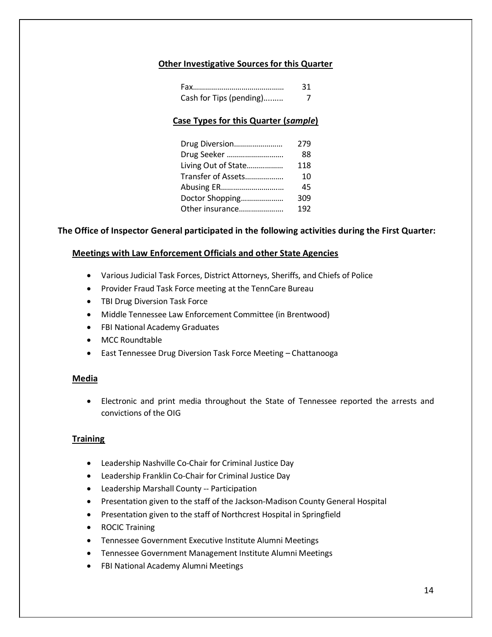#### **Other Investigative Sources for this Quarter**

|                         | 31 |
|-------------------------|----|
| Cash for Tips (pending) |    |

#### **Case Types for this Quarter (***sample***)**

| 279 |
|-----|
| 88  |
| 118 |
| 10  |
| 45  |
| 309 |
| 192 |
|     |

#### **The Office of Inspector General participated in the following activities during the First Quarter:**

#### **Meetings with Law Enforcement Officials and other State Agencies**

- Various Judicial Task Forces, District Attorneys, Sheriffs, and Chiefs of Police
- Provider Fraud Task Force meeting at the TennCare Bureau
- TBI Drug Diversion Task Force
- Middle Tennessee Law Enforcement Committee (in Brentwood)
- FBI National Academy Graduates
- MCC Roundtable
- East Tennessee Drug Diversion Task Force Meeting Chattanooga

#### **Media**

• Electronic and print media throughout the State of Tennessee reported the arrests and convictions of the OIG

#### **Training**

- Leadership Nashville Co-Chair for Criminal Justice Day
- Leadership Franklin Co-Chair for Criminal Justice Day
- Leadership Marshall County -- Participation
- Presentation given to the staff of the Jackson-Madison County General Hospital
- Presentation given to the staff of Northcrest Hospital in Springfield
- ROCIC Training
- Tennessee Government Executive Institute Alumni Meetings
- Tennessee Government Management Institute Alumni Meetings
- FBI National Academy Alumni Meetings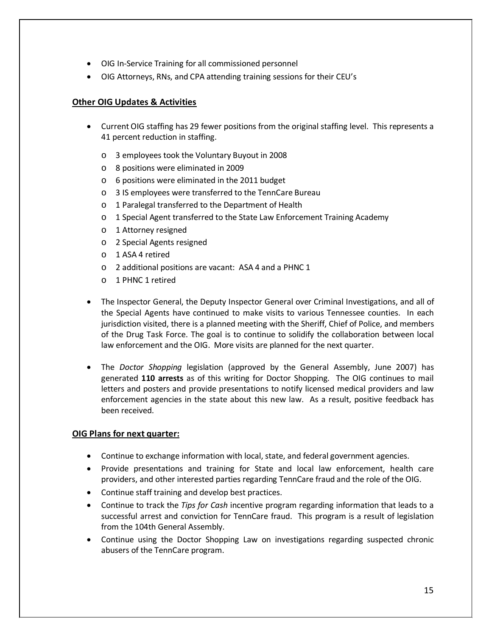- OIG In-Service Training for all commissioned personnel
- OIG Attorneys, RNs, and CPA attending training sessions for their CEU's

#### **Other OIG Updates & Activities**

- Current OIG staffing has 29 fewer positions from the original staffing level. This represents a <sup>41</sup> percent reduction in staffing.
	- o 3 employees took the Voluntary Buyout in 2008
	- o 8 positions were eliminated in 2009
	- o 6 positions were eliminated in the 2011 budget
	- o 3 IS employees were transferred to the TennCare Bureau
	- o 1 Paralegal transferred to the Department of Health
	- o 1 Special Agent transferred to the State Law Enforcement Training Academy
	- o 1 Attorney resigned
	- o 2 Special Agents resigned
	- o 1 ASA 4 retired
	- o 2 additional positions are vacant: ASA 4 and a PHNC 1
	- o 1 PHNC 1 retired
- The Inspector General, the Deputy Inspector General over Criminal Investigations, and all of the Special Agents have continued to make visits to various Tennessee counties. In each jurisdiction visited, there is a planned meeting with the Sheriff, Chief of Police, and members of the Drug Task Force. The goal is to continue to solidify the collaboration between local law enforcement and the OIG. More visits are planned for the next quarter.
- The *Doctor Shopping* legislation (approved by the General Assembly, June 2007) has generated **110 arrests** as of this writing for Doctor Shopping. The OIG continues to mail letters and posters and provide presentations to notify licensed medical providers and law enforcement agencies in the state about this new law. As a result, positive feedback has been received.

#### **OIG Plans for next quarter:**

- Continue to exchange information with local, state, and federal government agencies.
- Provide presentations and training for State and local law enforcement, health care providers, and other interested parties regarding TennCare fraud and the role of the OIG.
- Continue staff training and develop best practices.
- Continue to track the *Tips for Cash* incentive program regarding information that leads to a successful arrest and conviction for TennCare fraud. This program is a result of legislation from the 104th General Assembly.
- Continue using the Doctor Shopping Law on investigations regarding suspected chronic abusers of the TennCare program.